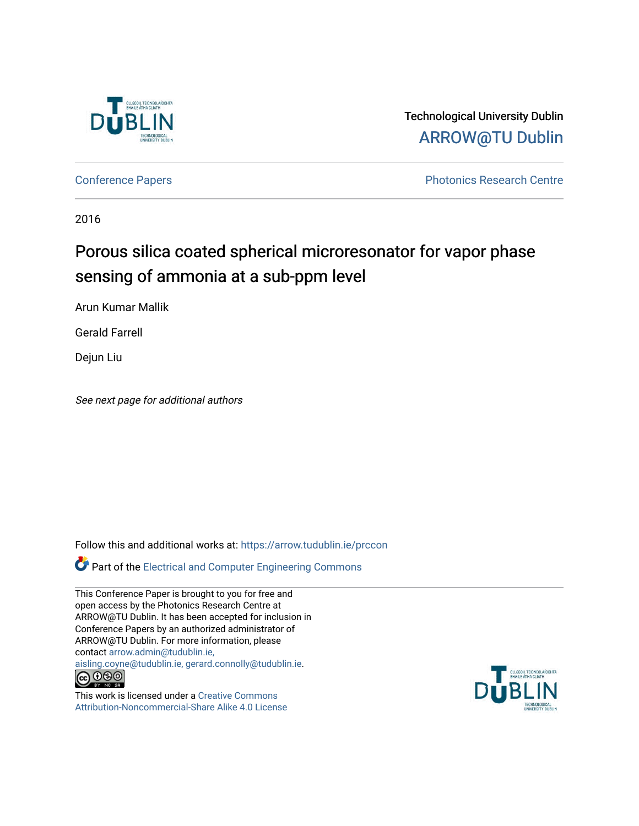

Technological University Dublin [ARROW@TU Dublin](https://arrow.tudublin.ie/) 

[Conference Papers](https://arrow.tudublin.ie/prccon) **Photonics Research Centre** 

2016

# Porous silica coated spherical microresonator for vapor phase sensing of ammonia at a sub-ppm level

Arun Kumar Mallik

Gerald Farrell

Dejun Liu

See next page for additional authors

Follow this and additional works at: [https://arrow.tudublin.ie/prccon](https://arrow.tudublin.ie/prccon?utm_source=arrow.tudublin.ie%2Fprccon%2F3&utm_medium=PDF&utm_campaign=PDFCoverPages) 

Part of the [Electrical and Computer Engineering Commons](http://network.bepress.com/hgg/discipline/266?utm_source=arrow.tudublin.ie%2Fprccon%2F3&utm_medium=PDF&utm_campaign=PDFCoverPages) 

This Conference Paper is brought to you for free and open access by the Photonics Research Centre at ARROW@TU Dublin. It has been accepted for inclusion in Conference Papers by an authorized administrator of ARROW@TU Dublin. For more information, please contact [arrow.admin@tudublin.ie,](mailto:arrow.admin@tudublin.ie,%20aisling.coyne@tudublin.ie,%20gerard.connolly@tudublin.ie)  [aisling.coyne@tudublin.ie, gerard.connolly@tudublin.ie](mailto:arrow.admin@tudublin.ie,%20aisling.coyne@tudublin.ie,%20gerard.connolly@tudublin.ie).  $\bigodot$   $\bigodot$   $\bigodot$ 

This work is licensed under a [Creative Commons](http://creativecommons.org/licenses/by-nc-sa/4.0/) [Attribution-Noncommercial-Share Alike 4.0 License](http://creativecommons.org/licenses/by-nc-sa/4.0/)

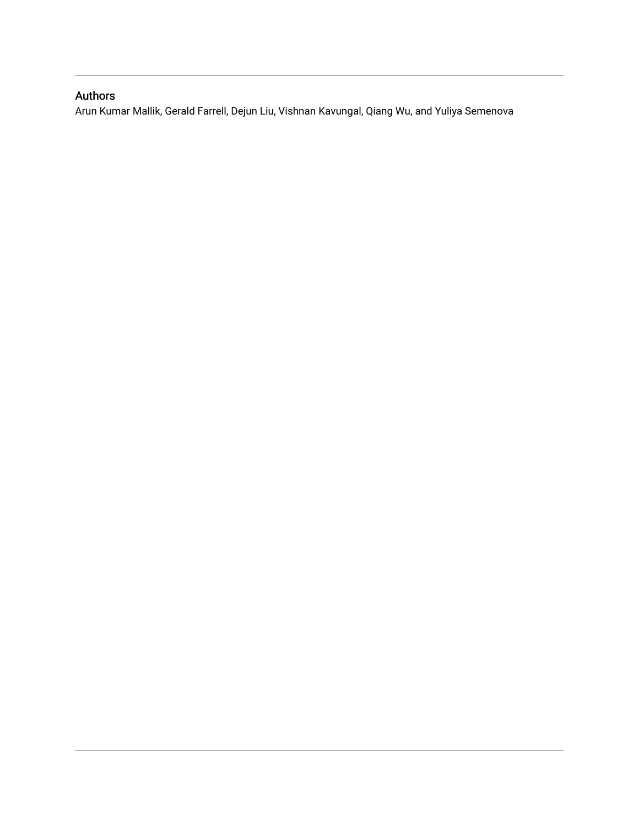# Authors

Arun Kumar Mallik, Gerald Farrell, Dejun Liu, Vishnan Kavungal, Qiang Wu, and Yuliya Semenova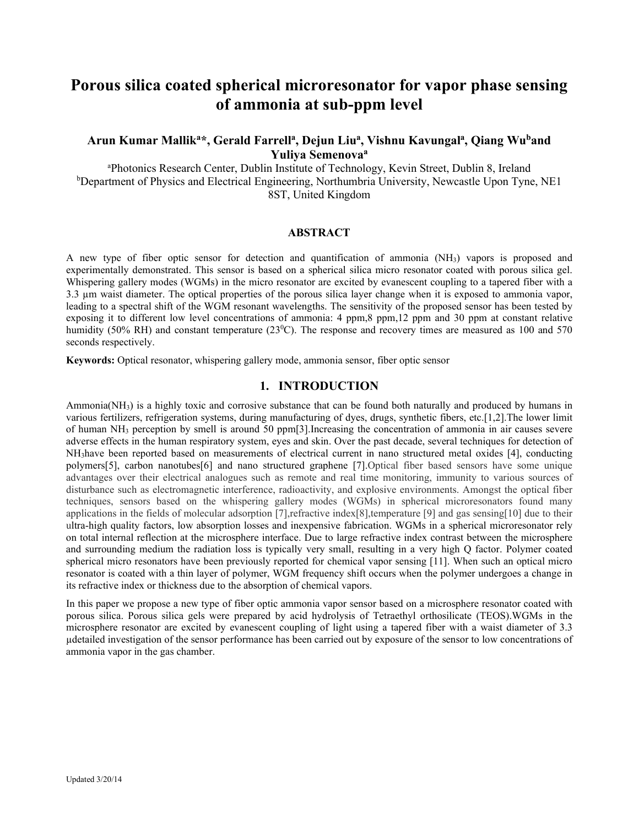# **Porous silica coated spherical microresonator for vapor phase sensing of ammonia at sub-ppm level**

## **Arun Kumar Mallika\*, Gerald Farrella, Dejun Liua, Vishnu Kavungala , Qiang Wuband Yuliya Semenovaa**

a Photonics Research Center, Dublin Institute of Technology, Kevin Street, Dublin 8, Ireland <sup>b</sup>Department of Physics and Electrical Engineering, Northumbria University, Newcastle Upon Tyne, NE1 8ST, United Kingdom

#### **ABSTRACT**

A new type of fiber optic sensor for detection and quantification of ammonia (NH3) vapors is proposed and experimentally demonstrated. This sensor is based on a spherical silica micro resonator coated with porous silica gel. Whispering gallery modes (WGMs) in the micro resonator are excited by evanescent coupling to a tapered fiber with a 3.3 µm waist diameter. The optical properties of the porous silica layer change when it is exposed to ammonia vapor, leading to a spectral shift of the WGM resonant wavelengths. The sensitivity of the proposed sensor has been tested by exposing it to different low level concentrations of ammonia: 4 ppm,8 ppm,12 ppm and 30 ppm at constant relative humidity (50% RH) and constant temperature (23<sup>0</sup>C). The response and recovery times are measured as 100 and 570 seconds respectively.

**Keywords:** Optical resonator, whispering gallery mode, ammonia sensor, fiber optic sensor

### **1. INTRODUCTION**

Ammonia( $NH<sub>3</sub>$ ) is a highly toxic and corrosive substance that can be found both naturally and produced by humans in various fertilizers, refrigeration systems, during manufacturing of dyes, drugs, synthetic fibers, etc.[1,2].The lower limit of human NH3 perception by smell is around 50 ppm[3].Increasing the concentration of ammonia in air causes severe adverse effects in the human respiratory system, eyes and skin. Over the past decade, several techniques for detection of NH3have been reported based on measurements of electrical current in nano structured metal oxides [4], conducting polymers[5], carbon nanotubes[6] and nano structured graphene [7].Optical fiber based sensors have some unique advantages over their electrical analogues such as remote and real time monitoring, immunity to various sources of disturbance such as electromagnetic interference, radioactivity, and explosive environments. Amongst the optical fiber techniques, sensors based on the whispering gallery modes (WGMs) in spherical microresonators found many applications in the fields of molecular adsorption [7],refractive index[8],temperature [9] and gas sensing[10] due to their ultra-high quality factors, low absorption losses and inexpensive fabrication. WGMs in a spherical microresonator rely on total internal reflection at the microsphere interface. Due to large refractive index contrast between the microsphere and surrounding medium the radiation loss is typically very small, resulting in a very high Q factor. Polymer coated spherical micro resonators have been previously reported for chemical vapor sensing [11]. When such an optical micro resonator is coated with a thin layer of polymer, WGM frequency shift occurs when the polymer undergoes a change in its refractive index or thickness due to the absorption of chemical vapors.

In this paper we propose a new type of fiber optic ammonia vapor sensor based on a microsphere resonator coated with porous silica. Porous silica gels were prepared by acid hydrolysis of Tetraethyl orthosilicate (TEOS).WGMs in the microsphere resonator are excited by evanescent coupling of light using a tapered fiber with a waist diameter of 3.3 µdetailed investigation of the sensor performance has been carried out by exposure of the sensor to low concentrations of ammonia vapor in the gas chamber.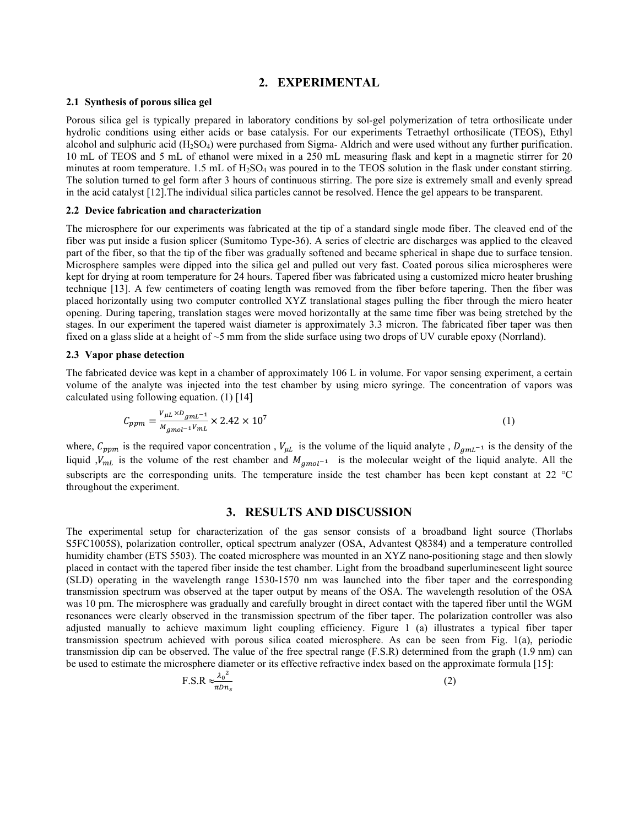#### **2. EXPERIMENTAL**

#### **2.1 Synthesis of porous silica gel**

Porous silica gel is typically prepared in laboratory conditions by sol-gel polymerization of tetra orthosilicate under hydrolic conditions using either acids or base catalysis. For our experiments Tetraethyl orthosilicate (TEOS), Ethyl alcohol and sulphuric acid  $(H_2SO_4)$  were purchased from Sigma- Aldrich and were used without any further purification. 10 mL of TEOS and 5 mL of ethanol were mixed in a 250 mL measuring flask and kept in a magnetic stirrer for 20 minutes at room temperature. 1.5 mL of  $H_2SO_4$  was poured in to the TEOS solution in the flask under constant stirring. The solution turned to gel form after 3 hours of continuous stirring. The pore size is extremely small and evenly spread in the acid catalyst [12].The individual silica particles cannot be resolved. Hence the gel appears to be transparent.

#### **2.2 Device fabrication and characterization**

The microsphere for our experiments was fabricated at the tip of a standard single mode fiber. The cleaved end of the fiber was put inside a fusion splicer (Sumitomo Type-36). A series of electric arc discharges was applied to the cleaved part of the fiber, so that the tip of the fiber was gradually softened and became spherical in shape due to surface tension. Microsphere samples were dipped into the silica gel and pulled out very fast. Coated porous silica microspheres were kept for drying at room temperature for 24 hours. Tapered fiber was fabricated using a customized micro heater brushing technique [13]. A few centimeters of coating length was removed from the fiber before tapering. Then the fiber was placed horizontally using two computer controlled XYZ translational stages pulling the fiber through the micro heater opening. During tapering, translation stages were moved horizontally at the same time fiber was being stretched by the stages. In our experiment the tapered waist diameter is approximately 3.3 micron. The fabricated fiber taper was then fixed on a glass slide at a height of  $\sim$ 5 mm from the slide surface using two drops of UV curable epoxy (Norrland).

#### **2.3 Vapor phase detection**

The fabricated device was kept in a chamber of approximately 106 L in volume. For vapor sensing experiment, a certain volume of the analyte was injected into the test chamber by using micro syringe. The concentration of vapors was calculated using following equation. (1) [14]

$$
C_{ppm} = \frac{V_{\mu L} \times D_{gmL^{-1}}}{M_{gmol^{-1}} V_{mL}} \times 2.42 \times 10^7
$$
 (1)

where,  $C_{ppm}$  is the required vapor concentration,  $V_{\mu L}$  is the volume of the liquid analyte,  $D_{gmL^{-1}}$  is the density of the liquid ,  $V_{mL}$  is the volume of the rest chamber and  $M_{gmol^{-1}}$  is the molecular weight of the liquid analyte. All the subscripts are the corresponding units. The temperature inside the test chamber has been kept constant at 22 °C throughout the experiment.

#### **3. RESULTS AND DISCUSSION**

The experimental setup for characterization of the gas sensor consists of a broadband light source (Thorlabs S5FC1005S), polarization controller, optical spectrum analyzer (OSA, Advantest Q8384) and a temperature controlled humidity chamber (ETS 5503). The coated microsphere was mounted in an XYZ nano-positioning stage and then slowly placed in contact with the tapered fiber inside the test chamber. Light from the broadband superluminescent light source (SLD) operating in the wavelength range 1530-1570 nm was launched into the fiber taper and the corresponding transmission spectrum was observed at the taper output by means of the OSA. The wavelength resolution of the OSA was 10 pm. The microsphere was gradually and carefully brought in direct contact with the tapered fiber until the WGM resonances were clearly observed in the transmission spectrum of the fiber taper. The polarization controller was also adjusted manually to achieve maximum light coupling efficiency. Figure 1 (a) illustrates a typical fiber taper transmission spectrum achieved with porous silica coated microsphere. As can be seen from Fig. 1(a), periodic transmission dip can be observed. The value of the free spectral range (F.S.R) determined from the graph (1.9 nm) can be used to estimate the microsphere diameter or its effective refractive index based on the approximate formula [15]:

$$
F.S.R \approx \frac{\lambda_0^2}{\pi D n_s} \tag{2}
$$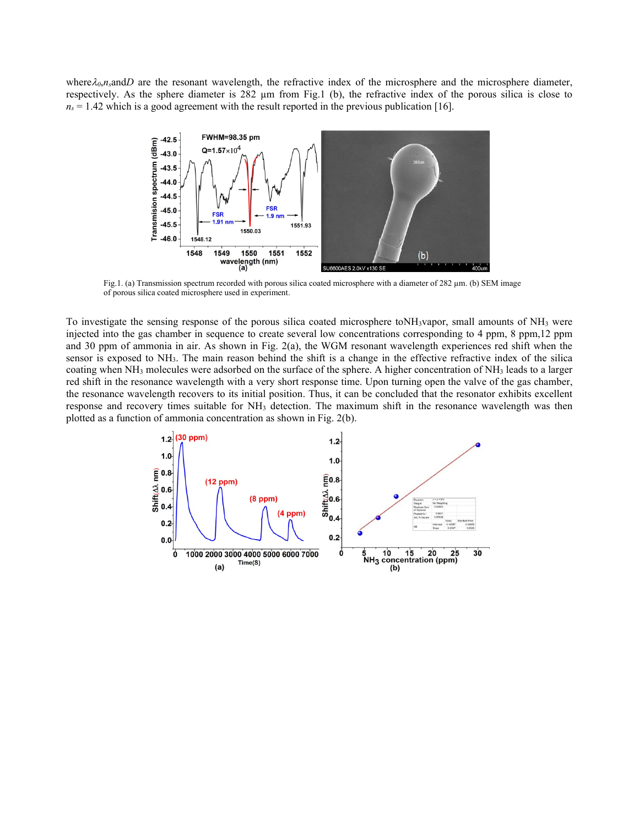where $\lambda_0$ ,*n*, and *D* are the resonant wavelength, the refractive index of the microsphere and the microsphere diameter, respectively. As the sphere diameter is 282 µm from Fig.1 (b), the refractive index of the porous silica is close to  $n_s = 1.42$  which is a good agreement with the result reported in the previous publication [16].



Fig.1. (a) Transmission spectrum recorded with porous silica coated microsphere with a diameter of 282  $\mu$ m. (b) SEM image of porous silica coated microsphere used in experiment.

To investigate the sensing response of the porous silica coated microsphere toNH3vapor, small amounts of NH3 were injected into the gas chamber in sequence to create several low concentrations corresponding to 4 ppm, 8 ppm,12 ppm and 30 ppm of ammonia in air. As shown in Fig. 2(a), the WGM resonant wavelength experiences red shift when the sensor is exposed to NH3. The main reason behind the shift is a change in the effective refractive index of the silica coating when NH3 molecules were adsorbed on the surface of the sphere. A higher concentration of NH3 leads to a larger red shift in the resonance wavelength with a very short response time. Upon turning open the valve of the gas chamber, the resonance wavelength recovers to its initial position. Thus, it can be concluded that the resonator exhibits excellent response and recovery times suitable for NH3 detection. The maximum shift in the resonance wavelength was then plotted as a function of ammonia concentration as shown in Fig. 2(b).

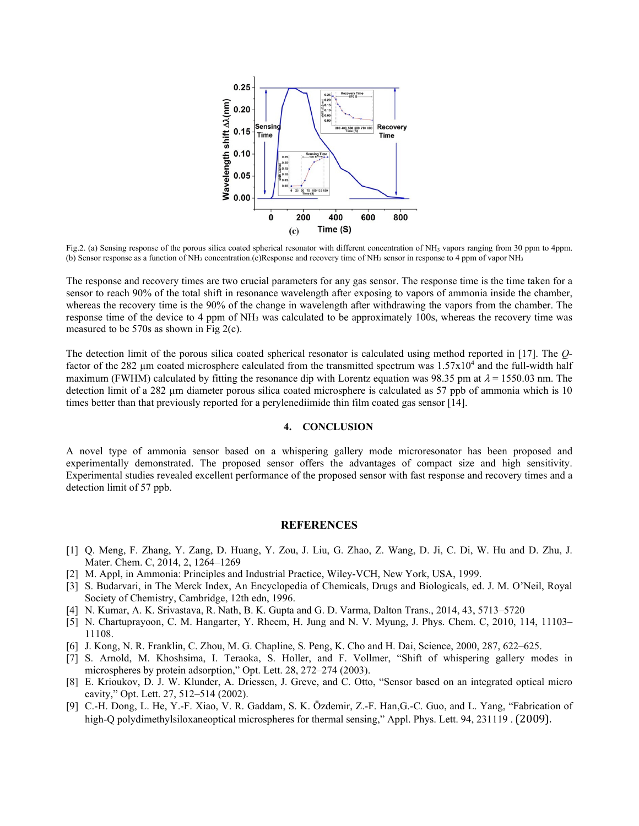

Fig.2. (a) Sensing response of the porous silica coated spherical resonator with different concentration of NH<sub>3</sub> vapors ranging from 30 ppm to 4ppm. (b) Sensor response as a function of NH<sub>3</sub> concentration.(c)Response and recovery time of NH<sub>3</sub> sensor in response to 4 ppm of vapor NH<sub>3</sub>

The response and recovery times are two crucial parameters for any gas sensor. The response time is the time taken for a sensor to reach 90% of the total shift in resonance wavelength after exposing to vapors of ammonia inside the chamber, whereas the recovery time is the 90% of the change in wavelength after withdrawing the vapors from the chamber. The response time of the device to 4 ppm of NH3 was calculated to be approximately 100s, whereas the recovery time was measured to be 570s as shown in Fig 2(c).

The detection limit of the porous silica coated spherical resonator is calculated using method reported in [17]. The *Q*factor of the 282 µm coated microsphere calculated from the transmitted spectrum was  $1.57x10^4$  and the full-width half maximum (FWHM) calculated by fitting the resonance dip with Lorentz equation was 98.35 pm at  $\lambda = 1550.03$  nm. The detection limit of a 282 µm diameter porous silica coated microsphere is calculated as 57 ppb of ammonia which is 10 times better than that previously reported for a perylenediimide thin film coated gas sensor [14].

#### **4. CONCLUSION**

A novel type of ammonia sensor based on a whispering gallery mode microresonator has been proposed and experimentally demonstrated. The proposed sensor offers the advantages of compact size and high sensitivity. Experimental studies revealed excellent performance of the proposed sensor with fast response and recovery times and a detection limit of 57 ppb.

#### **REFERENCES**

- [1] Q. Meng, F. Zhang, Y. Zang, D. Huang, Y. Zou, J. Liu, G. Zhao, Z. Wang, D. Ji, C. Di, W. Hu and D. Zhu, J. Mater. Chem. C, 2014, 2, 1264–1269
- [2] M. Appl, in Ammonia: Principles and Industrial Practice, Wiley-VCH, New York, USA, 1999.
- [3] S. Budarvari, in The Merck Index, An Encyclopedia of Chemicals, Drugs and Biologicals, ed. J. M. O'Neil, Royal Society of Chemistry, Cambridge, 12th edn, 1996.
- [4] N. Kumar, A. K. Srivastava, R. Nath, B. K. Gupta and G. D. Varma, Dalton Trans., 2014, 43, 5713–5720
- [5] N. Chartuprayoon, C. M. Hangarter, Y. Rheem, H. Jung and N. V. Myung, J. Phys. Chem. C, 2010, 114, 11103– 11108.
- [6] J. Kong, N. R. Franklin, C. Zhou, M. G. Chapline, S. Peng, K. Cho and H. Dai, Science, 2000, 287, 622–625.
- [7] S. Arnold, M. Khoshsima, I. Teraoka, S. Holler, and F. Vollmer, "Shift of whispering gallery modes in microspheres by protein adsorption," Opt. Lett. 28, 272–274 (2003).
- [8] E. Krioukov, D. J. W. Klunder, A. Driessen, J. Greve, and C. Otto, "Sensor based on an integrated optical micro cavity," Opt. Lett. 27, 512–514 (2002).
- [9] C.-H. Dong, L. He, Y.-F. Xiao, V. R. Gaddam, S. K. Özdemir, Z.-F. Han,G.-C. Guo, and L. Yang, "Fabrication of high-Q polydimethylsiloxaneoptical microspheres for thermal sensing," Appl. Phys. Lett. 94, 231119 . [2009].